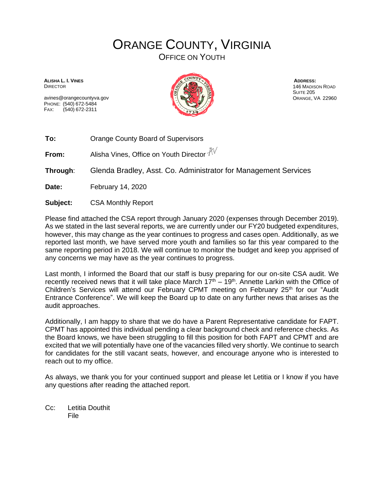## ORANGE COUNTY, VIRGINIA

OFFICE ON YOUTH

**ALISHA L. I. VINES** DIRECTOR

avines@orangecountyva.gov PHONE: (540) 672-5484 FAX: (540) 672-2311



**ADDRESS:** 146 MADISON ROAD SUITE 205 ORANGE, VA 22960

**To:** Orange County Board of Supervisors

**From:** Alisha Vines, Office on Youth Director  $\sqrt[4]{\sqrt{}}$ 

**Through**: Glenda Bradley, Asst. Co. Administrator for Management Services

**Date:** February 14, 2020

**Subject:** CSA Monthly Report

Please find attached the CSA report through January 2020 (expenses through December 2019). As we stated in the last several reports, we are currently under our FY20 budgeted expenditures, however, this may change as the year continues to progress and cases open. Additionally, as we reported last month, we have served more youth and families so far this year compared to the same reporting period in 2018. We will continue to monitor the budget and keep you apprised of any concerns we may have as the year continues to progress.

Last month, I informed the Board that our staff is busy preparing for our on-site CSA audit. We recently received news that it will take place March  $17<sup>th</sup> - 19<sup>th</sup>$ . Annette Larkin with the Office of Children's Services will attend our February CPMT meeting on February 25<sup>th</sup> for our "Audit Entrance Conference". We will keep the Board up to date on any further news that arises as the audit approaches.

Additionally, I am happy to share that we do have a Parent Representative candidate for FAPT. CPMT has appointed this individual pending a clear background check and reference checks. As the Board knows, we have been struggling to fill this position for both FAPT and CPMT and are excited that we will potentially have one of the vacancies filled very shortly. We continue to search for candidates for the still vacant seats, however, and encourage anyone who is interested to reach out to my office.

As always, we thank you for your continued support and please let Letitia or I know if you have any questions after reading the attached report.

Cc: Letitia Douthit File